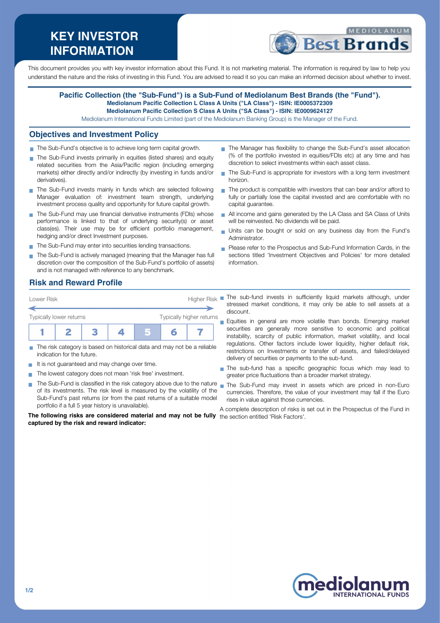# **KEY INVESTOR INFORMATION**



This document provides you with key investor information about this Fund. It is not marketing material. The information is required by law to help you understand the nature and the risks of investing in this Fund. You are advised to read it so you can make an informed decision about whether to invest.

#### **Pacific Collection (the "Sub-Fund") is a Sub-Fund of Mediolanum Best Brands (the "Fund"). Mediolanum Pacific Collection L Class A Units ("LA Class") - ISIN: IE0005372309**

**Mediolanum Pacific Collection S Class A Units ("SA Class") - ISIN: IE0009624127**

Mediolanum International Funds Limited (part of the Mediolanum Banking Group) is the Manager of the Fund.

#### **Objectives and Investment Policy**

- The Sub-Fund's objective is to achieve long term capital growth.
- The Sub-Fund invests primarily in equities (listed shares) and equity related securities from the Asia/Pacific region (including emerging markets) either directly and/or indirectly (by investing in funds and/or derivatives).
- The Sub-Fund invests mainly in funds which are selected following Manager evaluation of: investment team strength, underlying investment process quality and opportunity for future capital growth.
- The Sub-Fund may use financial derivative instruments (FDIs) whose performance is linked to that of underlying security(s) or asset class(es). Their use may be for efficient portfolio management, hedging and/or direct Investment purposes.
- The Sub-Fund may enter into securities lending transactions.
- The Sub-Fund is actively managed (meaning that the Manager has full discretion over the composition of the Sub-Fund's portfolio of assets) and is not managed with reference to any benchmark.
- The Manager has flexibility to change the Sub-Fund's asset allocation (% of the portfolio invested in equities/FDIs etc) at any time and has discretion to select investments within each asset class.
- The Sub-Fund is appropriate for investors with a long term investment horizon.
- The product is compatible with investors that can bear and/or afford to fully or partially lose the capital invested and are comfortable with no capital guarantee.
- All income and gains generated by the LA Class and SA Class of Units will be reinvested. No dividends will be paid.
- Units can be bought or sold on any business day from the Fund's Administrator.
- Please refer to the Prospectus and Sub-Fund Information Cards, in the sections titled 'Investment Objectives and Policies' for more detailed information.

#### **Risk and Reward Profile**



- The risk category is based on historical data and may not be a reliable **The State** indication for the future.
- It is not quaranteed and may change over time.
- The lowest category does not mean 'risk free' investment.  $\blacksquare$
- The Sub-Fund is classified in the risk category above due to the nature nan the Sub-Fund may invest in assets which are priced in non-Euro of its investments. The risk level is measured by the volatility of the Sub-Fund's past returns (or from the past returns of a suitable model portfolio if a full 5 year history is unavailable).

**The following risks are considered material and may not be fully** the section entitled 'Risk Factors'.**captured by the risk and reward indicator:**

- Lower Risk **Higher Risk** The sub-fund invests in sufficiently liquid markets although, under stressed market conditions, it may only be able to sell assets at a discount.
	- Equities in general are more volatile than bonds. Emerging market securities are generally more sensitive to economic and political instability, scarcity of public information, market volatility, and local regulations. Other factors include lower liquidity, higher default risk, restrictions on Investments or transfer of assets, and failed/delayed delivery of securities or payments to the sub-fund.
	- The sub-fund has a specific geographic focus which may lead to greater price fluctuations than a broader market strategy.
	- currencies. Therefore, the value of your investment may fall if the Euro rises in value against those currencies.

A complete description of risks is set out in the Prospectus of the Fund in